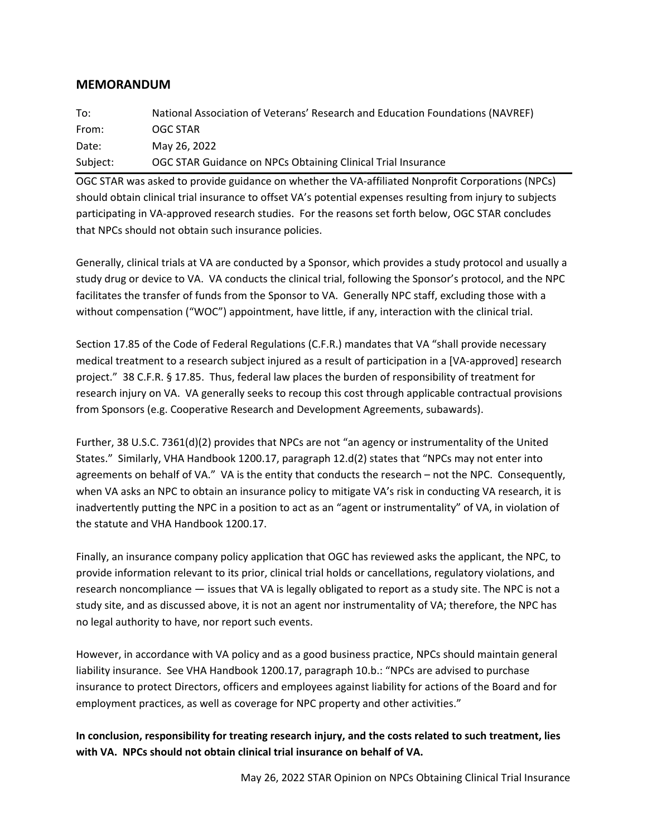## **MEMORANDUM**

| To:      | National Association of Veterans' Research and Education Foundations (NAVREF) |
|----------|-------------------------------------------------------------------------------|
| From:    | OGC STAR                                                                      |
| Date:    | May 26, 2022                                                                  |
| Subject: | OGC STAR Guidance on NPCs Obtaining Clinical Trial Insurance                  |

OGC STAR was asked to provide guidance on whether the VA-affiliated Nonprofit Corporations (NPCs) should obtain clinical trial insurance to offset VA's potential expenses resulting from injury to subjects participating in VA-approved research studies. For the reasons set forth below, OGC STAR concludes that NPCs should not obtain such insurance policies.

Generally, clinical trials at VA are conducted by a Sponsor, which provides a study protocol and usually a study drug or device to VA. VA conducts the clinical trial, following the Sponsor's protocol, and the NPC facilitates the transfer of funds from the Sponsor to VA. Generally NPC staff, excluding those with a without compensation ("WOC") appointment, have little, if any, interaction with the clinical trial.

Section 17.85 of the Code of Federal Regulations (C.F.R.) mandates that VA "shall provide necessary medical treatment to a research subject injured as a result of participation in a [VA-approved] research project." 38 C.F.R. § 17.85. Thus, federal law places the burden of responsibility of treatment for research injury on VA. VA generally seeks to recoup this cost through applicable contractual provisions from Sponsors (e.g. Cooperative Research and Development Agreements, subawards).

Further, 38 U.S.C. 7361(d)(2) provides that NPCs are not "an agency or instrumentality of the United States." Similarly, VHA Handbook 1200.17, paragraph 12.d(2) states that "NPCs may not enter into agreements on behalf of VA." VA is the entity that conducts the research – not the NPC. Consequently, when VA asks an NPC to obtain an insurance policy to mitigate VA's risk in conducting VA research, it is inadvertently putting the NPC in a position to act as an "agent or instrumentality" of VA, in violation of the statute and VHA Handbook 1200.17.

Finally, an insurance company policy application that OGC has reviewed asks the applicant, the NPC, to provide information relevant to its prior, clinical trial holds or cancellations, regulatory violations, and research noncompliance — issues that VA is legally obligated to report as a study site. The NPC is not a study site, and as discussed above, it is not an agent nor instrumentality of VA; therefore, the NPC has no legal authority to have, nor report such events.

However, in accordance with VA policy and as a good business practice, NPCs should maintain general liability insurance. See VHA Handbook 1200.17, paragraph 10.b.: "NPCs are advised to purchase insurance to protect Directors, officers and employees against liability for actions of the Board and for employment practices, as well as coverage for NPC property and other activities."

**In conclusion, responsibility for treating research injury, and the costs related to such treatment, lies with VA. NPCs should not obtain clinical trial insurance on behalf of VA.**